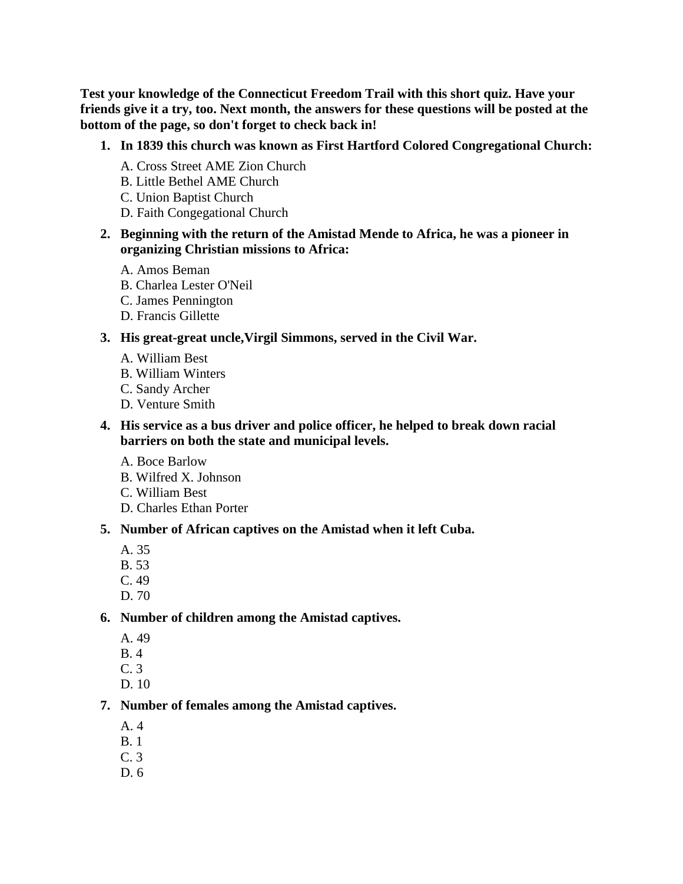**Test your knowledge of the Connecticut Freedom Trail with this short quiz. Have your friends give it a try, too. Next month, the answers for these questions will be posted at the bottom of the page, so don't forget to check back in!**

- **1. In 1839 this church was known as First Hartford Colored Congregational Church:** 
	- A. Cross Street AME Zion Church
	- B. Little Bethel AME Church
	- C. Union Baptist Church
	- D. Faith Congegational Church
- **2. Beginning with the return of the Amistad Mende to Africa, he was a pioneer in organizing Christian missions to Africa:** 
	- A. Amos Beman
	- B. Charlea Lester O'Neil
	- C. James Pennington
	- D. Francis Gillette

#### **3. His great-great uncle,Virgil Simmons, served in the Civil War.**

- A. William Best
- B. William Winters
- C. Sandy Archer
- D. Venture Smith
- **4. His service as a bus driver and police officer, he helped to break down racial barriers on both the state and municipal levels.** 
	- A. Boce Barlow
	- B. Wilfred X. Johnson
	- C. William Best
	- D. Charles Ethan Porter

#### **5. Number of African captives on the Amistad when it left Cuba.**

- A. 35
- B. 53
- C. 49
- D. 70

#### **6. Number of children among the Amistad captives.**

- A. 49
- B. 4
- C. 3
- D. 10

#### **7. Number of females among the Amistad captives.**

- A. 4
- B. 1
- C. 3
- D. 6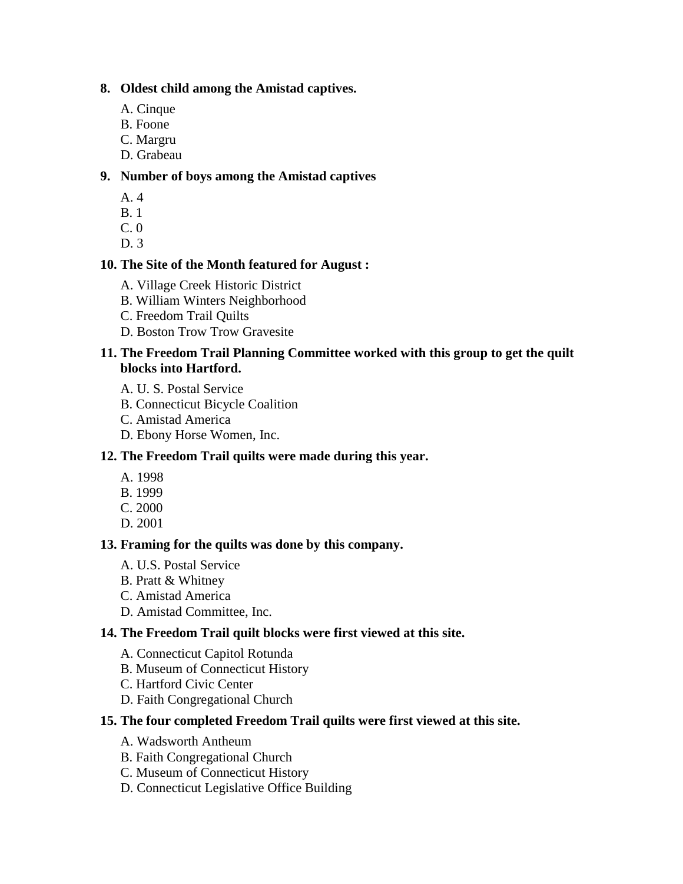### **8. Oldest child among the Amistad captives.**

- A. Cinque
- B. Foone
- C. Margru
- D. Grabeau

# **9. Number of boys among the Amistad captives**

- A. 4
- B. 1
- C. 0
- D. 3

## **10. The Site of the Month featured for August :**

- A. Village Creek Historic District
- B. William Winters Neighborhood
- C. Freedom Trail Quilts
- D. Boston Trow Trow Gravesite

### **11. The Freedom Trail Planning Committee worked with this group to get the quilt blocks into Hartford.**

- A. U. S. Postal Service
- B. Connecticut Bicycle Coalition
- C. Amistad America
- D. Ebony Horse Women, Inc.

# **12. The Freedom Trail quilts were made during this year.**

- A. 1998
- B. 1999
- C. 2000
- D. 2001

# **13. Framing for the quilts was done by this company.**

- A. U.S. Postal Service
- B. Pratt & Whitney
- C. Amistad America
- D. Amistad Committee, Inc.

## **14. The Freedom Trail quilt blocks were first viewed at this site.**

- A. Connecticut Capitol Rotunda
- B. Museum of Connecticut History
- C. Hartford Civic Center
- D. Faith Congregational Church

## **15. The four completed Freedom Trail quilts were first viewed at this site.**

- A. Wadsworth Antheum
- B. Faith Congregational Church
- C. Museum of Connecticut History
- D. Connecticut Legislative Office Building